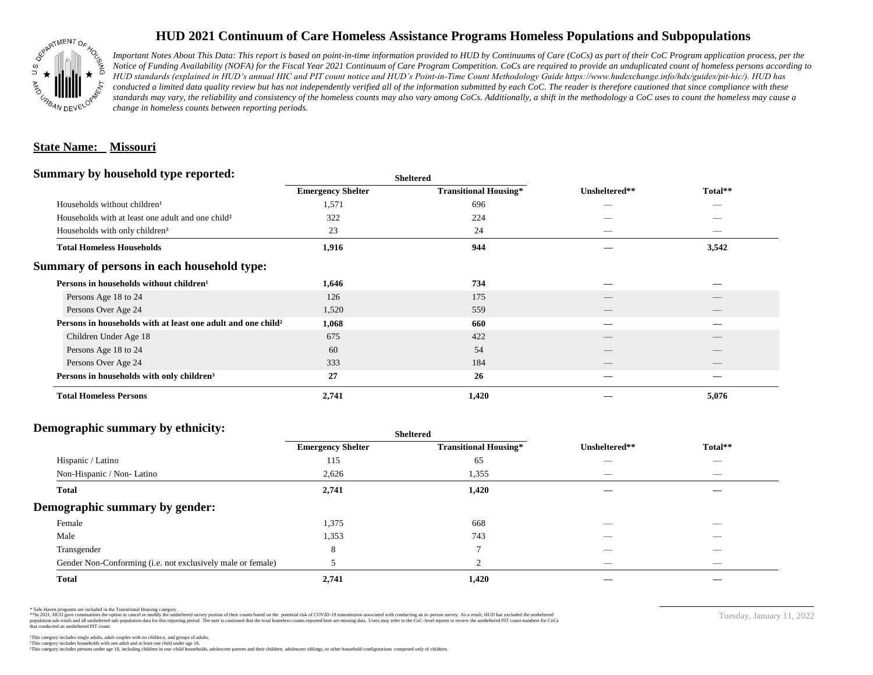

## **HUD 2021 Continuum of Care Homeless Assistance Programs Homeless Populations and Subpopulations**

*Important Notes About This Data: This report is based on point-in-time information provided to HUD by Continuums of Care (CoCs) as part of their CoC Program application process, per the Notice of Funding Availability (NOFA) for the Fiscal Year 2021 Continuum of Care Program Competition. CoCs are required to provide an unduplicated count of homeless persons according to HUD standards (explained in HUD's annual HIC and PIT count notice and HUD's Point-in-Time Count Methodology Guide https://www.hudexchange.info/hdx/guides/pit-hic/). HUD has*  conducted a limited data quality review but has not independently verified all of the information submitted by each CoC. The reader is therefore cautioned that since compliance with these standards may vary, the reliability and consistency of the homeless counts may also vary among CoCs. Additionally, a shift in the methodology a CoC uses to count the homeless may cause a *change in homeless counts between reporting periods.*

#### **State Name: Missouri**

#### **Summary by household type reported:**

| $\ddot{\phantom{0}}$<br>. .                                              | энскегси                 |                              |               |                          |  |
|--------------------------------------------------------------------------|--------------------------|------------------------------|---------------|--------------------------|--|
|                                                                          | <b>Emergency Shelter</b> | <b>Transitional Housing*</b> | Unsheltered** | Total**                  |  |
| Households without children <sup>1</sup>                                 | 1,571                    | 696                          | _             | _                        |  |
| Households with at least one adult and one child <sup>2</sup>            | 322                      | 224                          |               |                          |  |
| Households with only children <sup>3</sup>                               | 23                       | 24                           | $\sim$        | $\sim$                   |  |
| <b>Total Homeless Households</b>                                         | 1,916                    | 944                          |               | 3,542                    |  |
| Summary of persons in each household type:                               |                          |                              |               |                          |  |
| Persons in households without children <sup>1</sup>                      | 1,646                    | 734                          |               |                          |  |
| Persons Age 18 to 24                                                     | 126                      | 175                          |               |                          |  |
| Persons Over Age 24                                                      | 1,520                    | 559                          |               |                          |  |
| Persons in households with at least one adult and one child <sup>2</sup> | 1,068                    | 660                          |               |                          |  |
| Children Under Age 18                                                    | 675                      | 422                          | __            | $\overline{\phantom{a}}$ |  |
| Persons Age 18 to 24                                                     | 60                       | 54                           |               |                          |  |
| Persons Over Age 24                                                      | 333                      | 184                          |               |                          |  |
| Persons in households with only children <sup>3</sup>                    | 27                       | 26                           |               |                          |  |
| <b>Total Homeless Persons</b>                                            | 2,741                    | 1,420                        |               | 5,076                    |  |
|                                                                          |                          |                              |               |                          |  |

**Sheltered**

### **Demographic summary by ethnicity:**

|                                                             | <b>Sheltered</b>         |                              |                          |                          |  |
|-------------------------------------------------------------|--------------------------|------------------------------|--------------------------|--------------------------|--|
|                                                             | <b>Emergency Shelter</b> | <b>Transitional Housing*</b> | Unsheltered**            | Total**                  |  |
| Hispanic / Latino                                           | 115                      | 65                           |                          | $\overline{\phantom{a}}$ |  |
| Non-Hispanic / Non-Latino                                   | 2,626                    | 1,355                        | _                        | $\overline{\phantom{a}}$ |  |
| <b>Total</b>                                                | 2,741                    | 1,420                        |                          |                          |  |
| Demographic summary by gender:                              |                          |                              |                          |                          |  |
| Female                                                      | 1,375                    | 668                          | _                        | _                        |  |
| Male                                                        | 1,353                    | 743                          |                          |                          |  |
| Transgender                                                 | 8                        | ⇁                            |                          |                          |  |
| Gender Non-Conforming (i.e. not exclusively male or female) |                          | $\bigcap$<br>∠               | $\overline{\phantom{a}}$ | $\overline{\phantom{a}}$ |  |
| <b>Total</b>                                                | 2,741                    | 1,420                        |                          |                          |  |

\* Safe Haven programs are included in the Transitional Housing category.

\*\*In 2021, HUD gave communities the option to cancel or modify the unsheltered survey portion of their counts based on the potential risk of COVID-19 transmission associated with conducting an in-person survey. As a result n political data for this reporting period. The user is cautioned that the total homeless counts reported here are missing data. Users may refer to the CoC-level reports to review the unshellered PIT count numbers for CoCs that conducted an unsheltered PIT count.

²This category includes households with one adult and at least one child under age 18. This category includes persons under age 18, including children in one -child households, adolescent parents and their children, adolescent siblings, or other household configurations composed only of children.